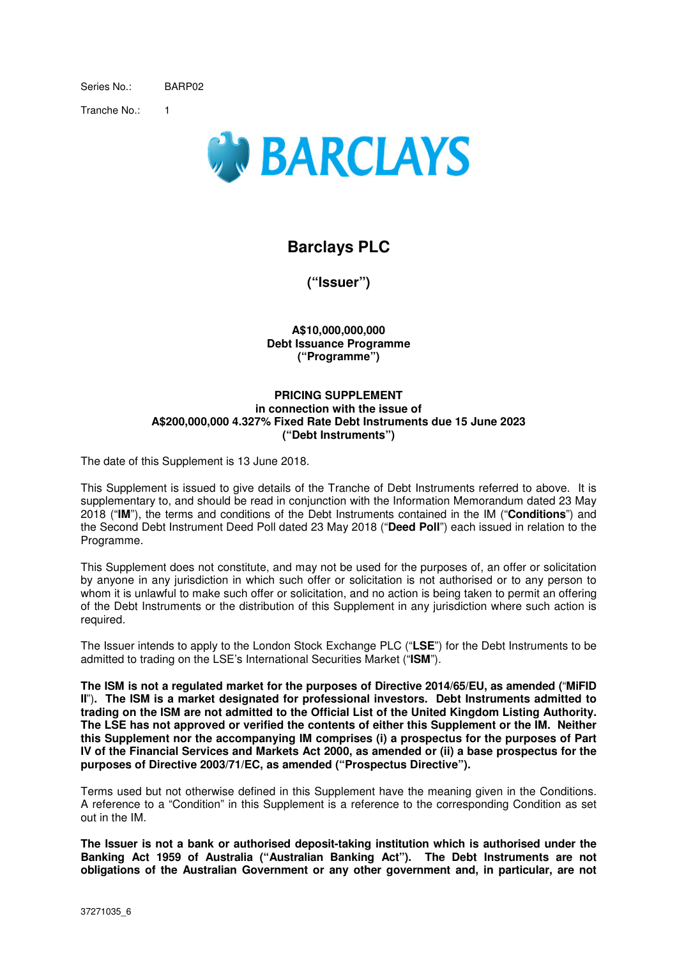Series No.: BARP02

Tranche No.: 1



# **Barclays PLC**

**("Issuer")** 

**A\$10,000,000,000 Debt Issuance Programme ("Programme")** 

### **PRICING SUPPLEMENT in connection with the issue of A\$200,000,000 4.327% Fixed Rate Debt Instruments due 15 June 2023 ("Debt Instruments")**

The date of this Supplement is 13 June 2018.

This Supplement is issued to give details of the Tranche of Debt Instruments referred to above. It is supplementary to, and should be read in conjunction with the Information Memorandum dated 23 May 2018 ("**IM**"), the terms and conditions of the Debt Instruments contained in the IM ("**Conditions**") and the Second Debt Instrument Deed Poll dated 23 May 2018 ("**Deed Poll**") each issued in relation to the Programme.

This Supplement does not constitute, and may not be used for the purposes of, an offer or solicitation by anyone in any jurisdiction in which such offer or solicitation is not authorised or to any person to whom it is unlawful to make such offer or solicitation, and no action is being taken to permit an offering of the Debt Instruments or the distribution of this Supplement in any jurisdiction where such action is required.

The Issuer intends to apply to the London Stock Exchange PLC ("**LSE**") for the Debt Instruments to be admitted to trading on the LSE's International Securities Market ("**ISM**").

**The ISM is not a regulated market for the purposes of Directive 2014/65/EU, as amended (**"**MiFID II**")**. The ISM is a market designated for professional investors. Debt Instruments admitted to trading on the ISM are not admitted to the Official List of the United Kingdom Listing Authority. The LSE has not approved or verified the contents of either this Supplement or the IM. Neither this Supplement nor the accompanying IM comprises (i) a prospectus for the purposes of Part IV of the Financial Services and Markets Act 2000, as amended or (ii) a base prospectus for the purposes of Directive 2003/71/EC, as amended ("Prospectus Directive").** 

Terms used but not otherwise defined in this Supplement have the meaning given in the Conditions. A reference to a "Condition" in this Supplement is a reference to the corresponding Condition as set out in the IM.

**The Issuer is not a bank or authorised deposit-taking institution which is authorised under the Banking Act 1959 of Australia ("Australian Banking Act"). The Debt Instruments are not obligations of the Australian Government or any other government and, in particular, are not**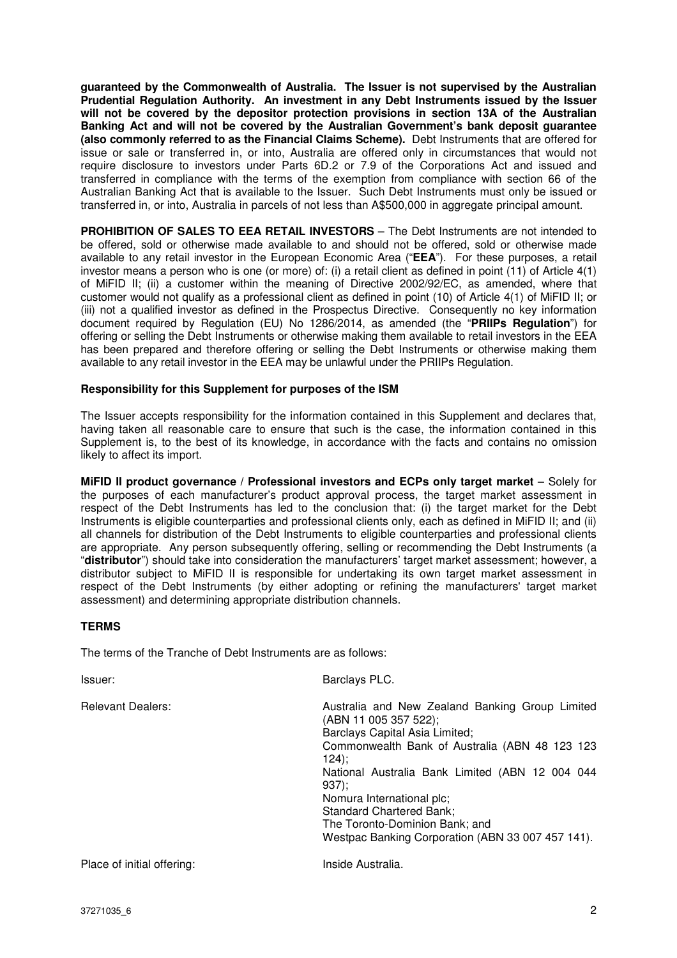**guaranteed by the Commonwealth of Australia. The Issuer is not supervised by the Australian Prudential Regulation Authority. An investment in any Debt Instruments issued by the Issuer will not be covered by the depositor protection provisions in section 13A of the Australian Banking Act and will not be covered by the Australian Government's bank deposit guarantee (also commonly referred to as the Financial Claims Scheme).** Debt Instruments that are offered for issue or sale or transferred in, or into, Australia are offered only in circumstances that would not require disclosure to investors under Parts 6D.2 or 7.9 of the Corporations Act and issued and transferred in compliance with the terms of the exemption from compliance with section 66 of the Australian Banking Act that is available to the Issuer. Such Debt Instruments must only be issued or transferred in, or into, Australia in parcels of not less than A\$500,000 in aggregate principal amount.

**PROHIBITION OF SALES TO EEA RETAIL INVESTORS** – The Debt Instruments are not intended to be offered, sold or otherwise made available to and should not be offered, sold or otherwise made available to any retail investor in the European Economic Area ("**EEA**"). For these purposes, a retail investor means a person who is one (or more) of: (i) a retail client as defined in point (11) of Article 4(1) of MiFID II; (ii) a customer within the meaning of Directive 2002/92/EC, as amended, where that customer would not qualify as a professional client as defined in point (10) of Article 4(1) of MiFID II; or (iii) not a qualified investor as defined in the Prospectus Directive. Consequently no key information document required by Regulation (EU) No 1286/2014, as amended (the "**PRIIPs Regulation**") for offering or selling the Debt Instruments or otherwise making them available to retail investors in the EEA has been prepared and therefore offering or selling the Debt Instruments or otherwise making them available to any retail investor in the EEA may be unlawful under the PRIIPs Regulation.

### **Responsibility for this Supplement for purposes of the ISM**

The Issuer accepts responsibility for the information contained in this Supplement and declares that, having taken all reasonable care to ensure that such is the case, the information contained in this Supplement is, to the best of its knowledge, in accordance with the facts and contains no omission likely to affect its import.

**MiFID II product governance / Professional investors and ECPs only target market** – Solely for the purposes of each manufacturer's product approval process, the target market assessment in respect of the Debt Instruments has led to the conclusion that: (i) the target market for the Debt Instruments is eligible counterparties and professional clients only, each as defined in MiFID II; and (ii) all channels for distribution of the Debt Instruments to eligible counterparties and professional clients are appropriate. Any person subsequently offering, selling or recommending the Debt Instruments (a "**distributor**") should take into consideration the manufacturers' target market assessment; however, a distributor subject to MiFID II is responsible for undertaking its own target market assessment in respect of the Debt Instruments (by either adopting or refining the manufacturers' target market assessment) and determining appropriate distribution channels.

### **TERMS**

The terms of the Tranche of Debt Instruments are as follows:

| Issuer:                    | Barclays PLC.                                                                                                                                                                                                     |
|----------------------------|-------------------------------------------------------------------------------------------------------------------------------------------------------------------------------------------------------------------|
| <b>Relevant Dealers:</b>   | Australia and New Zealand Banking Group Limited<br>(ABN 11 005 357 522);<br>Barclays Capital Asia Limited;<br>Commonwealth Bank of Australia (ABN 48 123 123<br>124):                                             |
|                            | National Australia Bank Limited (ABN 12 004 044<br>$937$ :<br>Nomura International plc;<br><b>Standard Chartered Bank;</b><br>The Toronto-Dominion Bank; and<br>Westpac Banking Corporation (ABN 33 007 457 141). |
| Place of initial offering: | Inside Australia.                                                                                                                                                                                                 |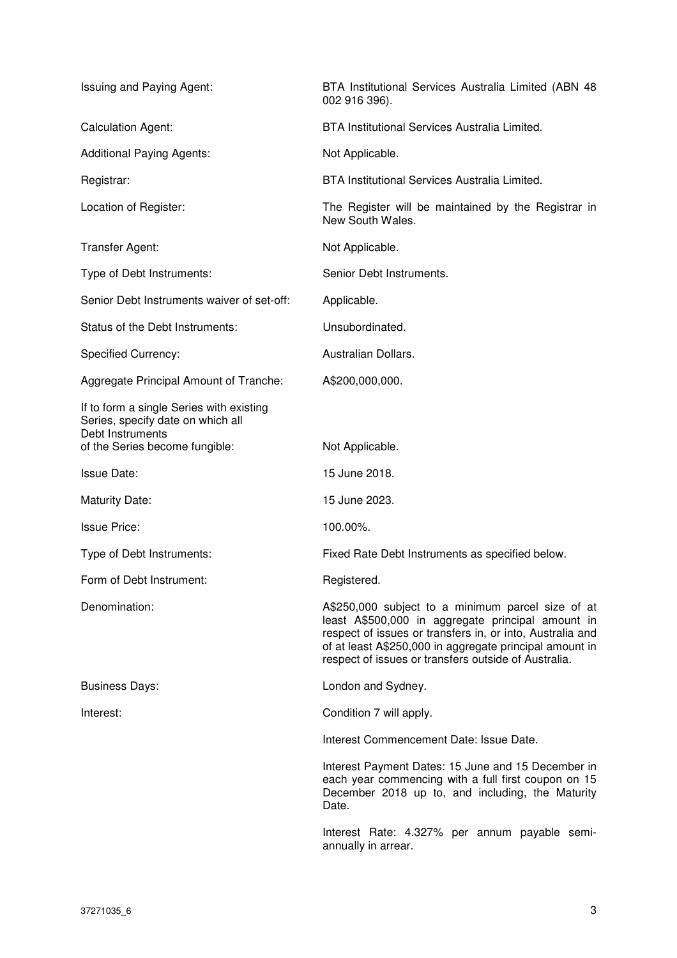| Issuing and Paying Agent:                                                                                                           | BTA Institutional Services Australia Limited (ABN 48<br>002 916 396).                                                                                                                                                                                                                  |
|-------------------------------------------------------------------------------------------------------------------------------------|----------------------------------------------------------------------------------------------------------------------------------------------------------------------------------------------------------------------------------------------------------------------------------------|
| <b>Calculation Agent:</b>                                                                                                           | BTA Institutional Services Australia Limited.                                                                                                                                                                                                                                          |
| <b>Additional Paying Agents:</b>                                                                                                    | Not Applicable.                                                                                                                                                                                                                                                                        |
| Registrar:                                                                                                                          | <b>BTA Institutional Services Australia Limited.</b>                                                                                                                                                                                                                                   |
| Location of Register:                                                                                                               | The Register will be maintained by the Registrar in<br>New South Wales.                                                                                                                                                                                                                |
| Transfer Agent:                                                                                                                     | Not Applicable.                                                                                                                                                                                                                                                                        |
| Type of Debt Instruments:                                                                                                           | Senior Debt Instruments.                                                                                                                                                                                                                                                               |
| Senior Debt Instruments waiver of set-off:                                                                                          | Applicable.                                                                                                                                                                                                                                                                            |
| Status of the Debt Instruments:                                                                                                     | Unsubordinated.                                                                                                                                                                                                                                                                        |
| <b>Specified Currency:</b>                                                                                                          | Australian Dollars.                                                                                                                                                                                                                                                                    |
| Aggregate Principal Amount of Tranche:                                                                                              | A\$200,000,000.                                                                                                                                                                                                                                                                        |
| If to form a single Series with existing<br>Series, specify date on which all<br>Debt Instruments<br>of the Series become fungible: | Not Applicable.                                                                                                                                                                                                                                                                        |
| <b>Issue Date:</b>                                                                                                                  | 15 June 2018.                                                                                                                                                                                                                                                                          |
| <b>Maturity Date:</b>                                                                                                               | 15 June 2023.                                                                                                                                                                                                                                                                          |
| <b>Issue Price:</b>                                                                                                                 | 100.00%.                                                                                                                                                                                                                                                                               |
| Type of Debt Instruments:                                                                                                           | Fixed Rate Debt Instruments as specified below.                                                                                                                                                                                                                                        |
| Form of Debt Instrument:                                                                                                            | Registered.                                                                                                                                                                                                                                                                            |
| Denomination:                                                                                                                       | A\$250,000 subject to a minimum parcel size of at<br>least A\$500,000 in aggregate principal amount in<br>respect of issues or transfers in, or into, Australia and<br>of at least A\$250,000 in aggregate principal amount in<br>respect of issues or transfers outside of Australia. |
| <b>Business Days:</b>                                                                                                               | London and Sydney.                                                                                                                                                                                                                                                                     |
| Interest:                                                                                                                           | Condition 7 will apply.                                                                                                                                                                                                                                                                |
|                                                                                                                                     | Interest Commencement Date: Issue Date.                                                                                                                                                                                                                                                |
|                                                                                                                                     | Interest Payment Dates: 15 June and 15 December in<br>each year commencing with a full first coupon on 15<br>December 2018 up to, and including, the Maturity<br>Date.                                                                                                                 |
|                                                                                                                                     | Interest Rate: 4.327% per annum payable semi-<br>annually in arrear.                                                                                                                                                                                                                   |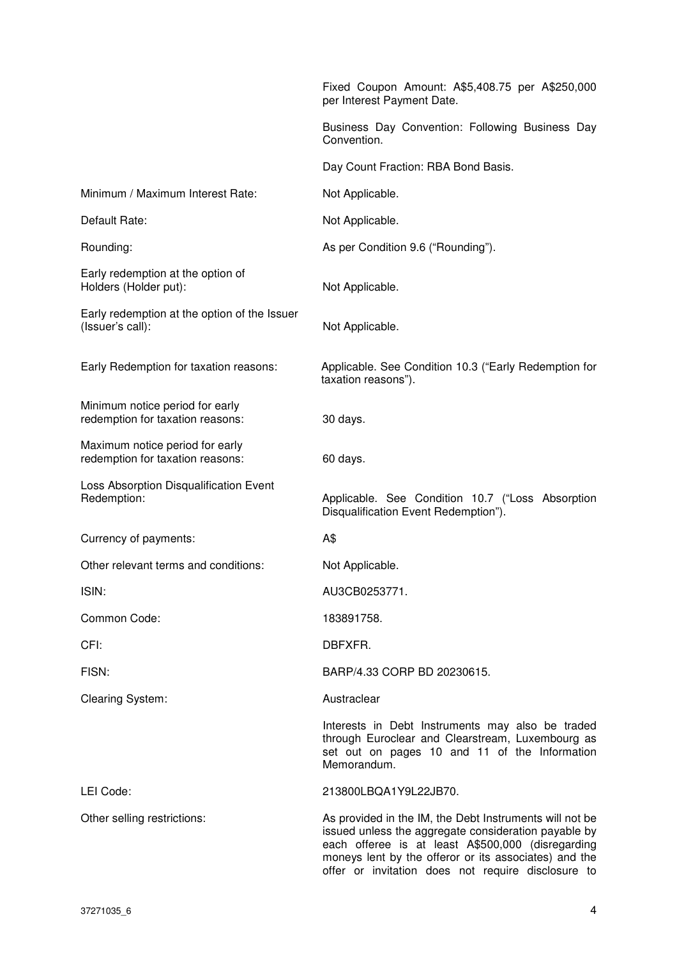|                                                                     | Fixed Coupon Amount: A\$5,408.75 per A\$250,000<br>per Interest Payment Date.                                                                                                                                                                                                       |
|---------------------------------------------------------------------|-------------------------------------------------------------------------------------------------------------------------------------------------------------------------------------------------------------------------------------------------------------------------------------|
|                                                                     | Business Day Convention: Following Business Day<br>Convention.                                                                                                                                                                                                                      |
|                                                                     | Day Count Fraction: RBA Bond Basis.                                                                                                                                                                                                                                                 |
| Minimum / Maximum Interest Rate:                                    | Not Applicable.                                                                                                                                                                                                                                                                     |
| Default Rate:                                                       | Not Applicable.                                                                                                                                                                                                                                                                     |
| Rounding:                                                           | As per Condition 9.6 ("Rounding").                                                                                                                                                                                                                                                  |
| Early redemption at the option of<br>Holders (Holder put):          | Not Applicable.                                                                                                                                                                                                                                                                     |
| Early redemption at the option of the Issuer<br>(Issuer's call):    | Not Applicable.                                                                                                                                                                                                                                                                     |
| Early Redemption for taxation reasons:                              | Applicable. See Condition 10.3 ("Early Redemption for<br>taxation reasons").                                                                                                                                                                                                        |
| Minimum notice period for early<br>redemption for taxation reasons: | 30 days.                                                                                                                                                                                                                                                                            |
| Maximum notice period for early<br>redemption for taxation reasons: | 60 days.                                                                                                                                                                                                                                                                            |
| Loss Absorption Disqualification Event<br>Redemption:               | Applicable. See Condition 10.7 ("Loss Absorption<br>Disqualification Event Redemption").                                                                                                                                                                                            |
| Currency of payments:                                               | A\$                                                                                                                                                                                                                                                                                 |
| Other relevant terms and conditions:                                | Not Applicable.                                                                                                                                                                                                                                                                     |
| ISIN:                                                               | AU3CB0253771.                                                                                                                                                                                                                                                                       |
| Common Code:                                                        | 183891758.                                                                                                                                                                                                                                                                          |
| CFI:                                                                | DBFXFR.                                                                                                                                                                                                                                                                             |
| FISN:                                                               | BARP/4.33 CORP BD 20230615.                                                                                                                                                                                                                                                         |
| <b>Clearing System:</b>                                             | Austraclear                                                                                                                                                                                                                                                                         |
|                                                                     | Interests in Debt Instruments may also be traded<br>through Euroclear and Clearstream, Luxembourg as<br>set out on pages 10 and 11 of the Information<br>Memorandum.                                                                                                                |
| LEI Code:                                                           | 213800LBQA1Y9L22JB70.                                                                                                                                                                                                                                                               |
| Other selling restrictions:                                         | As provided in the IM, the Debt Instruments will not be<br>issued unless the aggregate consideration payable by<br>each offeree is at least A\$500,000 (disregarding<br>moneys lent by the offeror or its associates) and the<br>offer or invitation does not require disclosure to |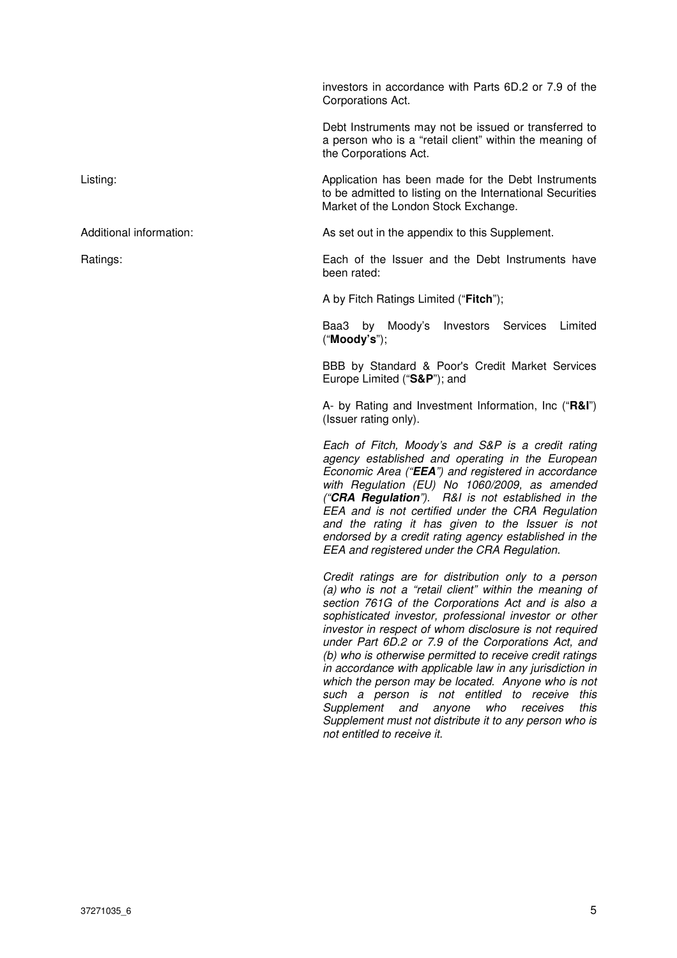investors in accordance with Parts 6D.2 or 7.9 of the Corporations Act.

Debt Instruments may not be issued or transferred to a person who is a "retail client" within the meaning of the Corporations Act.

Listing: Application has been made for the Debt Instruments to be admitted to listing on the International Securities Market of the London Stock Exchange.

Additional information: As set out in the appendix to this Supplement.

Ratings: Each of the Issuer and the Debt Instruments have been rated:

A by Fitch Ratings Limited ("**Fitch**");

Baa3 by Moody's Investors Services Limited ("**Moody's**");

BBB by Standard & Poor's Credit Market Services Europe Limited ("**S&P**"); and

A- by Rating and Investment Information, Inc ("**R&I**") (Issuer rating only).

Each of Fitch, Moody's and S&P is a credit rating agency established and operating in the European Economic Area ("**EEA**") and registered in accordance with Regulation (EU) No 1060/2009, as amended ("**CRA Regulation**"). R&I is not established in the EEA and is not certified under the CRA Regulation and the rating it has given to the Issuer is not endorsed by a credit rating agency established in the EEA and registered under the CRA Regulation.

Credit ratings are for distribution only to a person (a) who is not a "retail client" within the meaning of section 761G of the Corporations Act and is also a sophisticated investor, professional investor or other investor in respect of whom disclosure is not required under Part 6D.2 or 7.9 of the Corporations Act, and (b) who is otherwise permitted to receive credit ratings in accordance with applicable law in any jurisdiction in which the person may be located. Anyone who is not such a person is not entitled to receive this Supplement and anyone who receives this Supplement must not distribute it to any person who is not entitled to receive it.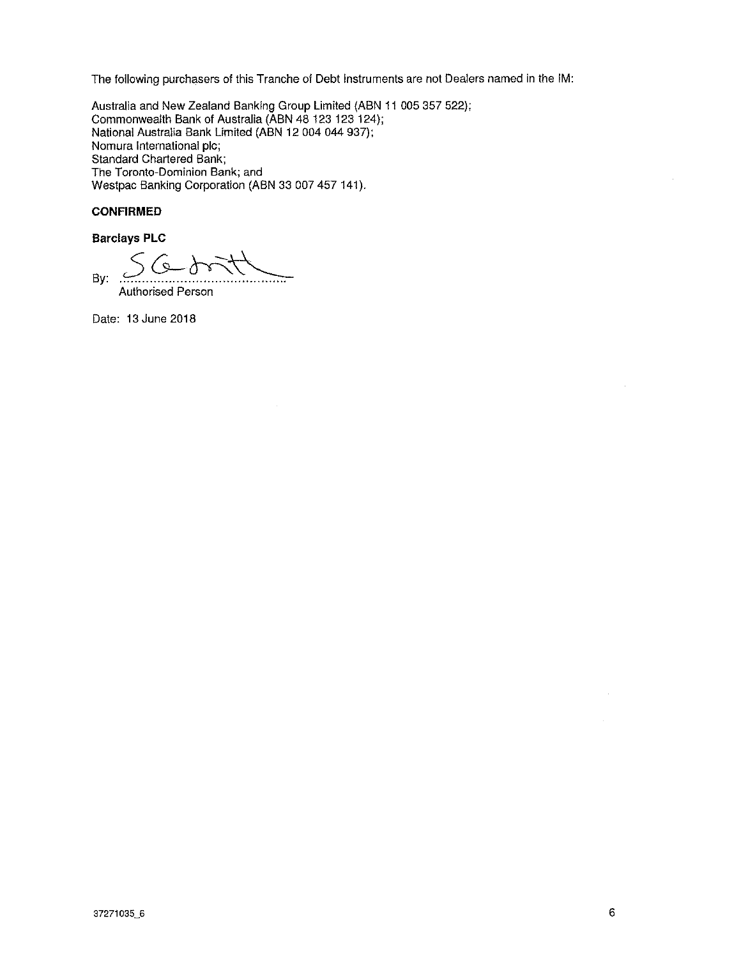The following purchasers of this Tranche of Debt Instruments are not Dealers named in the IM:

Australia and New Zealand Banking Group Limited (ABN 11 005 357 522); Commonwealth Bank of Australia (ABN 48 123 123 124); National Australia Bank Limited (ABN 12 004 044 937); Nomura International plc; **Standard Chartered Bank;** The Toronto-Dominion Bank; and Westpac Banking Corporation (ABN 33 007 457 141).

## **CONFIRMED**

**Barclays PLC** 

 $6 - 8$ By:  $\sim$ . . . . . . <del>. . . . .</del>

Authorised Person

Date: 13 June 2018